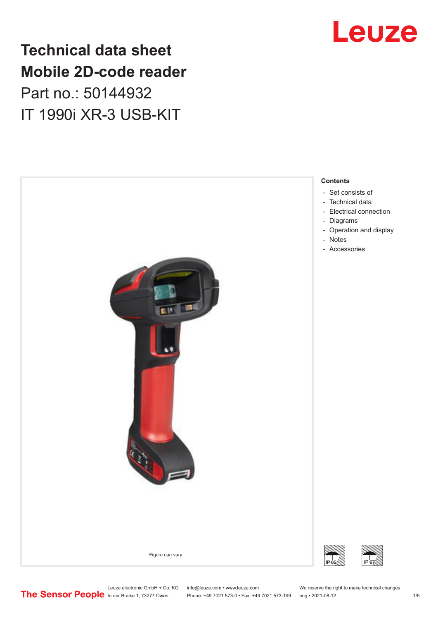# **Technical data sheet Mobile 2D-code reader** Part no.: 50144932 IT 1990i XR-3 USB-KIT





Leuze electronic GmbH + Co. KG info@leuze.com • www.leuze.com We reserve the right to make technical changes<br>
The Sensor People in der Braike 1, 73277 Owen Phone: +49 7021 573-0 • Fax: +49 7021 573-199 eng • 2021-08-12

Phone: +49 7021 573-0 • Fax: +49 7021 573-199 eng • 2021-08-12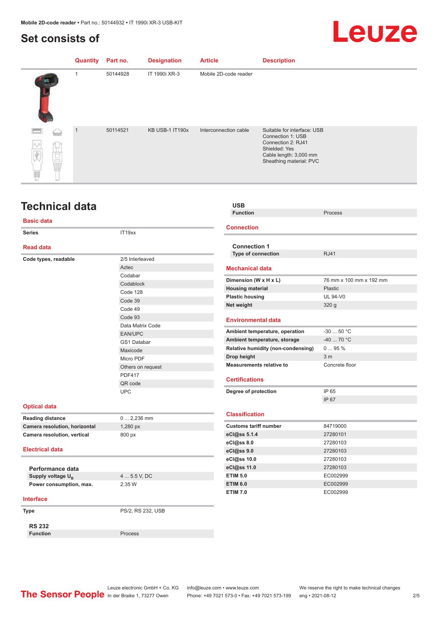# <span id="page-1-0"></span>**Set consists of**

# Leuze

|                              | <b>Quantity</b> | Part no. | <b>Designation</b> | <b>Article</b>        | <b>Description</b>                                                                                                                           |
|------------------------------|-----------------|----------|--------------------|-----------------------|----------------------------------------------------------------------------------------------------------------------------------------------|
|                              |                 | 50144928 | IT 1990i XR-3      | Mobile 2D-code reader |                                                                                                                                              |
| <b>Nament</b><br>$n_{\rm B}$ | 1               | 50114521 | KB USB-1 IT190x    | Interconnection cable | Suitable for interface: USB<br>Connection 1: USB<br>Connection 2: RJ41<br>Shielded: Yes<br>Cable length: 3,000 mm<br>Sheathing material: PVC |

# **Technical data**

### **Basic data**

|                               |                   | <b>Connection</b>                  |                  |  |
|-------------------------------|-------------------|------------------------------------|------------------|--|
| <b>Series</b>                 | IT19xx            |                                    |                  |  |
| <b>Read data</b>              |                   | <b>Connection 1</b>                |                  |  |
| Code types, readable          | 2/5 Interleaved   | <b>Type of connection</b>          | <b>RJ41</b>      |  |
|                               | Aztec             | <b>Mechanical data</b>             |                  |  |
|                               | Codabar           |                                    |                  |  |
|                               | Codablock         | Dimension (W x H x L)              | 76 mm x 1        |  |
|                               | Code 128          | <b>Housing material</b>            | Plastic          |  |
|                               | Code 39           | <b>Plastic housing</b>             | <b>UL 94-V0</b>  |  |
|                               | Code 49           | Net weight                         | 320 <sub>g</sub> |  |
|                               | Code 93           |                                    |                  |  |
|                               | Data Matrix Code  | <b>Environmental data</b>          |                  |  |
|                               | EAN/UPC           | Ambient temperature, operation     | $-3050$          |  |
|                               | GS1 Databar       | Ambient temperature, storage       | $-4070$ °        |  |
|                               | Maxicode          | Relative humidity (non-condensing) | $095\%$          |  |
|                               | Micro PDF         | Drop height                        | 3 <sub>m</sub>   |  |
|                               | Others on request | <b>Measurements relative to</b>    | Concrete f       |  |
| <b>PDF417</b>                 |                   |                                    |                  |  |
|                               | QR code           | <b>Certifications</b>              |                  |  |
|                               | <b>UPC</b>        | Degree of protection               | IP 65            |  |
|                               |                   |                                    | IP 67            |  |
| <b>Optical data</b>           |                   |                                    |                  |  |
| <b>Reading distance</b>       | $0 2,236$ mm      | <b>Classification</b>              |                  |  |
| Camera resolution, horizontal | 1,280 px          | <b>Customs tariff number</b>       | 84719000         |  |
| Camera resolution, vertical   | 800 px            | eCl@ss 5.1.4                       | 27280101         |  |
|                               |                   | eCl@ss 8.0                         | 27280103         |  |
| <b>Electrical data</b>        |                   | eCl@ss 9.0                         | 27280103         |  |
|                               |                   | eCl@ss 10.0                        | 27280103         |  |
| Performance data              |                   | eCl@ss 11.0                        | 27280103         |  |

| Performance data              |
|-------------------------------|
| Supply voltage U <sub>p</sub> |
| Power consumption, max.       |

4 ... 5.5 V, DC **Power consumption, max.** 2.35 W

#### **Interface**

**Type** PS/2, RS 232, USB

**RS 232**

**Function** Process

### **USB Function** Process

**Connection**

| <b>Connection 1</b>                |                         |
|------------------------------------|-------------------------|
| <b>Type of connection</b>          | <b>RJ41</b>             |
|                                    |                         |
| <b>Mechanical data</b>             |                         |
| Dimension (W x H x L)              | 76 mm x 100 mm x 192 mm |
| <b>Housing material</b>            | Plastic                 |
| <b>Plastic housing</b>             | <b>UL 94-V0</b>         |
| Net weight                         | 320q                    |
|                                    |                         |
| <b>Environmental data</b>          |                         |
| Ambient temperature, operation     | $-3050 °C$              |
| Ambient temperature, storage       | $-4070 °C$              |
| Relative humidity (non-condensing) | $095\%$                 |
| Drop height                        | 3 <sub>m</sub>          |
| <b>Measurements relative to</b>    | Concrete floor          |
|                                    |                         |
| <b>Certifications</b>              |                         |
| Degree of protection               | IP 65                   |
|                                    | IP 67                   |
|                                    |                         |
| <b>Classification</b>              |                         |
| <b>Customs tariff number</b>       | 84719000                |
| eCl@ss 5.1.4                       | 27280101                |
| eCl@ss 8.0                         | 27280103                |
| eCl@ss 9.0                         | 27280103                |
| eCl@ss 10.0                        | 27280103                |

#### **ETIM 6.0** EC002999 **ETIM 7.0** EC002999

**ETIM 5.0** EC002999

Leuze electronic GmbH + Co. KG info@leuze.com • www.leuze.com We reserve the right to make technical changes<br>
The Sensor People in der Braike 1, 73277 Owen Phone: +49 7021 573-0 • Fax: +49 7021 573-199 eng • 2021-08-12

Phone: +49 7021 573-0 • Fax: +49 7021 573-199 eng • 2021-08-12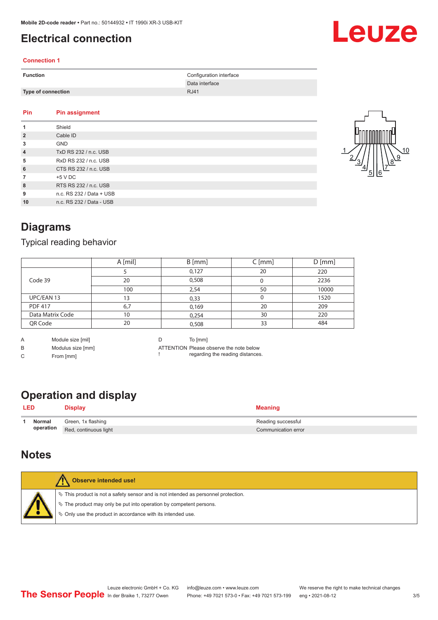# <span id="page-2-0"></span>**Electrical connection**

### **Connection 1**

| <b>Function</b> |                           | Configuration interface<br>Data interface |
|-----------------|---------------------------|-------------------------------------------|
|                 | <b>Type of connection</b> | <b>RJ41</b>                               |
| Pin             | Pin assignment            |                                           |

| 1              | Shield                   |
|----------------|--------------------------|
| $\overline{2}$ | Cable ID                 |
| 3              | <b>GND</b>               |
| $\overline{4}$ | TxD RS 232 / n.c. USB    |
| 5              | RxD RS 232 / n.c. USB    |
| 6              | CTS RS 232 / n.c. USB    |
| $\overline{7}$ | $+5$ V DC                |
| 8              | RTS RS 232 / n.c. USB    |
| 9              | n.c. RS 232 / Data + USB |
| 10             | n.c. RS 232 / Data - USB |



Leuze

## **Diagrams**

### Typical reading behavior

|                  | A [mil] | $B$ [mm] | $C$ [mm] | $D$ [mm] |
|------------------|---------|----------|----------|----------|
|                  |         | 0,127    | 20       | 220      |
| Code 39          | 20      | 0,508    |          | 2236     |
|                  | 100     | 2,54     | 50       | 10000    |
| UPC/EAN 13       | 13      | 0,33     | 0        | 1520     |
| <b>PDF 417</b>   | 6,7     | 0,169    | 20       | 209      |
| Data Matrix Code | 10      | 0,254    | 30       | 220      |
| QR Code          | 20      | 0,508    | 33       | 484      |

A Module size [mil]

B Modulus size [mm]

C From [mm]

D To [mm]

!

ATTENTION Please observe the note below regarding the reading distances.

# **Operation and display**

|            |           | $\sim$ potential and choping |                     |  |
|------------|-----------|------------------------------|---------------------|--|
| <b>LED</b> |           | <b>Display</b>               | Meaning             |  |
|            | Normal    | Green, 1x flashing           | Reading successful  |  |
|            | operation | Red, continuous light        | Communication error |  |

### **Notes**

|  | Observe intended use!                                                                 |
|--|---------------------------------------------------------------------------------------|
|  | $\%$ This product is not a safety sensor and is not intended as personnel protection. |
|  | ₹ The product may only be put into operation by competent persons.                    |
|  | ♦ Only use the product in accordance with its intended use.                           |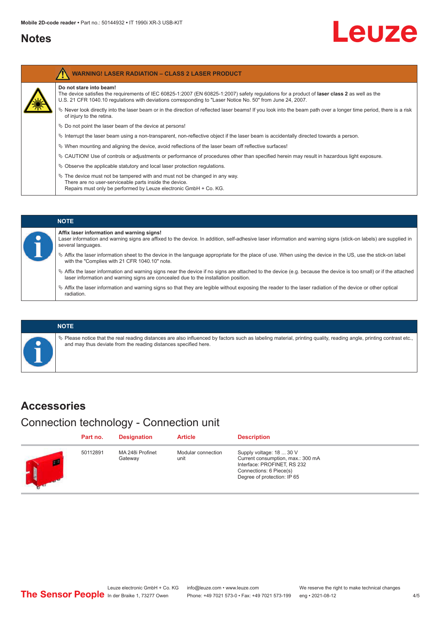## <span id="page-3-0"></span>**Notes**

# Leuze

| <b>WARNING! LASER RADIATION - CLASS 2 LASER PRODUCT</b>                                                                                                                                                                                                                               |
|---------------------------------------------------------------------------------------------------------------------------------------------------------------------------------------------------------------------------------------------------------------------------------------|
| Do not stare into beam!<br>The device satisfies the requirements of IEC 60825-1:2007 (EN 60825-1:2007) safety requlations for a product of laser class 2 as well as the<br>U.S. 21 CFR 1040.10 regulations with deviations corresponding to "Laser Notice No. 50" from June 24, 2007. |
| Never look directly into the laser beam or in the direction of reflected laser beams! If you look into the beam path over a longer time period, there is a risk<br>of injury to the retina.                                                                                           |
| $\%$ Do not point the laser beam of the device at persons!                                                                                                                                                                                                                            |
| Interrupt the laser beam using a non-transparent, non-reflective object if the laser beam is accidentally directed towards a person.                                                                                                                                                  |
| $\%$ When mounting and aligning the device, avoid reflections of the laser beam off reflective surfaces!                                                                                                                                                                              |
| $\&$ CAUTION! Use of controls or adjustments or performance of procedures other than specified herein may result in hazardous light exposure.                                                                                                                                         |
| $\%$ Observe the applicable statutory and local laser protection regulations.                                                                                                                                                                                                         |
| $\ddot{\varphi}$ The device must not be tampered with and must not be changed in any way.<br>There are no user-serviceable parts inside the device.<br>Repairs must only be performed by Leuze electronic GmbH + Co. KG.                                                              |
|                                                                                                                                                                                                                                                                                       |



### **NOTE**

 $\%$  Please notice that the real reading distances are also influenced by factors such as labeling material, printing quality, reading angle, printing contrast etc., and may thus deviate from the reading distances specified here.

## **Accessories**

Connection technology - Connection unit

|   | Part no. | <b>Designation</b>          | <b>Article</b>             | <b>Description</b>                                                                                                                                     |
|---|----------|-----------------------------|----------------------------|--------------------------------------------------------------------------------------------------------------------------------------------------------|
| m | 50112891 | MA 248i Profinet<br>Gateway | Modular connection<br>unit | Supply voltage: 18  30 V<br>Current consumption, max.: 300 mA<br>Interface: PROFINET, RS 232<br>Connections: 6 Piece(s)<br>Degree of protection: IP 65 |